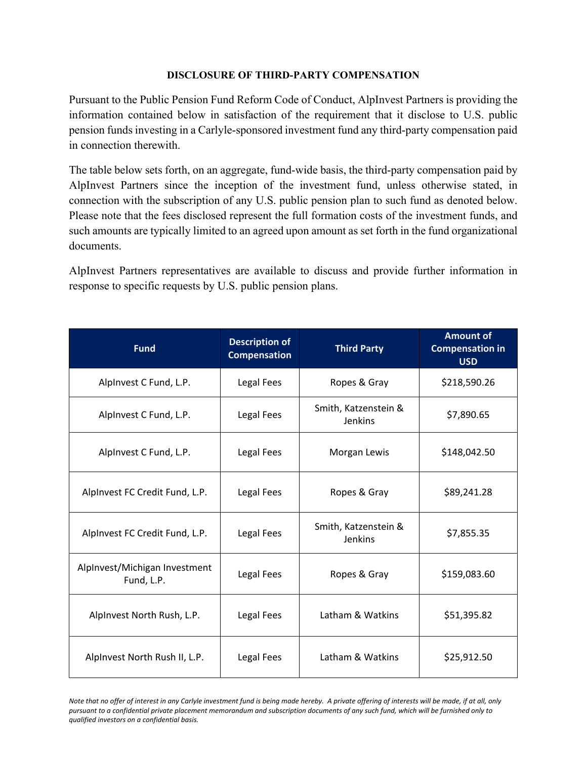## **DISCLOSURE OF THIRD-PARTY COMPENSATION**

Pursuant to the Public Pension Fund Reform Code of Conduct, AlpInvest Partners is providing the information contained below in satisfaction of the requirement that it disclose to U.S. public pension funds investing in a Carlyle-sponsored investment fund any third-party compensation paid in connection therewith.

The table below sets forth, on an aggregate, fund-wide basis, the third-party compensation paid by AlpInvest Partners since the inception of the investment fund, unless otherwise stated, in connection with the subscription of any U.S. public pension plan to such fund as denoted below. Please note that the fees disclosed represent the full formation costs of the investment funds, and such amounts are typically limited to an agreed upon amount as set forth in the fund organizational documents.

AlpInvest Partners representatives are available to discuss and provide further information in response to specific requests by U.S. public pension plans.

| <b>Fund</b>                                 | <b>Description of</b><br><b>Compensation</b> | <b>Third Party</b>                     | <b>Amount of</b><br><b>Compensation in</b><br><b>USD</b> |
|---------------------------------------------|----------------------------------------------|----------------------------------------|----------------------------------------------------------|
| Alpinvest C Fund, L.P.                      | Legal Fees                                   | Ropes & Gray                           | \$218,590.26                                             |
| Alpinvest C Fund, L.P.                      | Legal Fees                                   | Smith, Katzenstein &<br><b>Jenkins</b> | \$7,890.65                                               |
| Alpinvest C Fund, L.P.                      | Legal Fees                                   | Morgan Lewis                           | \$148,042.50                                             |
| AlpInvest FC Credit Fund, L.P.              | Legal Fees                                   | Ropes & Gray                           | \$89,241.28                                              |
| AlpInvest FC Credit Fund, L.P.              | Legal Fees                                   | Smith, Katzenstein &<br>Jenkins        | \$7,855.35                                               |
| AlpInvest/Michigan Investment<br>Fund, L.P. | Legal Fees                                   | Ropes & Gray                           | \$159,083.60                                             |
| Alpinvest North Rush, L.P.                  | Legal Fees                                   | Latham & Watkins                       | \$51,395.82                                              |
| Alpinvest North Rush II, L.P.               | Legal Fees                                   | Latham & Watkins                       | \$25,912.50                                              |

Note that no offer of interest in any Carlyle investment fund is being made hereby. A private offering of interests will be made, if at all, only pursuant to a confidential private placement memorandum and subscription documents of any such fund, which will be furnished only to *qualified investors on a confidential basis.*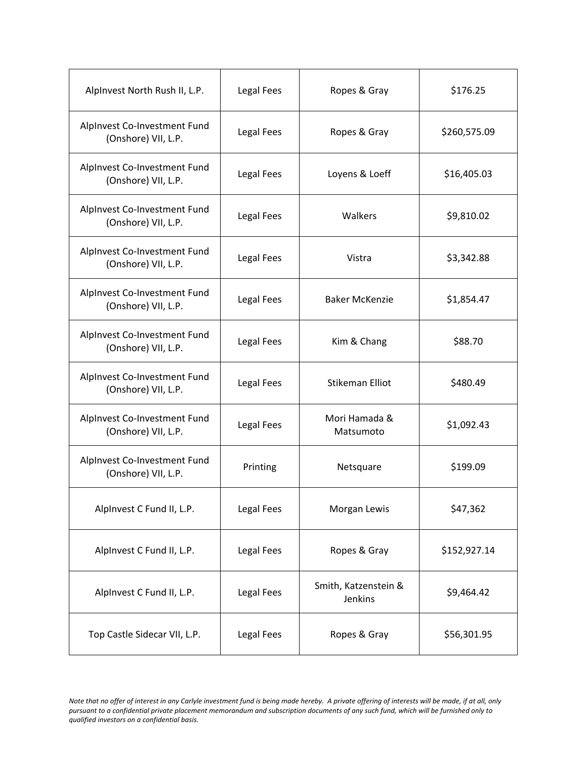| Alpinvest North Rush II, L.P.                       | Legal Fees | Ropes & Gray                    | \$176.25     |
|-----------------------------------------------------|------------|---------------------------------|--------------|
| AlpInvest Co-Investment Fund<br>(Onshore) VII, L.P. | Legal Fees | Ropes & Gray                    | \$260,575.09 |
| AlpInvest Co-Investment Fund<br>(Onshore) VII, L.P. | Legal Fees | Loyens & Loeff                  | \$16,405.03  |
| AlpInvest Co-Investment Fund<br>(Onshore) VII, L.P. | Legal Fees | Walkers                         | \$9,810.02   |
| AlpInvest Co-Investment Fund<br>(Onshore) VII, L.P. | Legal Fees | Vistra                          | \$3,342.88   |
| AlpInvest Co-Investment Fund<br>(Onshore) VII, L.P. | Legal Fees | <b>Baker McKenzie</b>           | \$1,854.47   |
| AlpInvest Co-Investment Fund<br>(Onshore) VII, L.P. | Legal Fees | Kim & Chang                     | \$88.70      |
| AlpInvest Co-Investment Fund<br>(Onshore) VII, L.P. | Legal Fees | <b>Stikeman Elliot</b>          | \$480.49     |
| AlpInvest Co-Investment Fund<br>(Onshore) VII, L.P. | Legal Fees | Mori Hamada &<br>Matsumoto      | \$1,092.43   |
| AlpInvest Co-Investment Fund<br>(Onshore) VII, L.P. | Printing   | Netsquare                       | \$199.09     |
| Alpinvest C Fund II, L.P.                           | Legal Fees | Morgan Lewis                    | \$47,362     |
| Alpinvest C Fund II, L.P.                           | Legal Fees | Ropes & Gray                    | \$152,927.14 |
| Alpinvest C Fund II, L.P.                           | Legal Fees | Smith, Katzenstein &<br>Jenkins | \$9,464.42   |
| Top Castle Sidecar VII, L.P.                        | Legal Fees | Ropes & Gray                    | \$56,301.95  |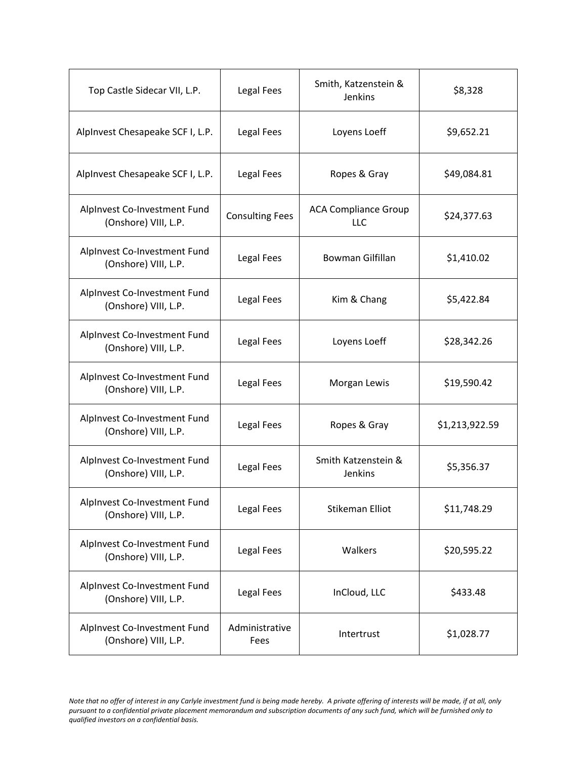| Top Castle Sidecar VII, L.P.                         | Legal Fees             | Smith, Katzenstein &<br>Jenkins           | \$8,328        |
|------------------------------------------------------|------------------------|-------------------------------------------|----------------|
| AlpInvest Chesapeake SCF I, L.P.                     | Legal Fees             | Loyens Loeff                              | \$9,652.21     |
| AlpInvest Chesapeake SCF I, L.P.                     | Legal Fees             | Ropes & Gray                              | \$49,084.81    |
| AlpInvest Co-Investment Fund<br>(Onshore) VIII, L.P. | <b>Consulting Fees</b> | <b>ACA Compliance Group</b><br><b>LLC</b> | \$24,377.63    |
| Alpinvest Co-Investment Fund<br>(Onshore) VIII, L.P. | Legal Fees             | Bowman Gilfillan                          | \$1,410.02     |
| Alpinvest Co-Investment Fund<br>(Onshore) VIII, L.P. | Legal Fees             | Kim & Chang                               | \$5,422.84     |
| AlpInvest Co-Investment Fund<br>(Onshore) VIII, L.P. | Legal Fees             | Loyens Loeff                              | \$28,342.26    |
| AlpInvest Co-Investment Fund<br>(Onshore) VIII, L.P. | Legal Fees             | Morgan Lewis                              | \$19,590.42    |
| AlpInvest Co-Investment Fund<br>(Onshore) VIII, L.P. | Legal Fees             | Ropes & Gray                              | \$1,213,922.59 |
| AlpInvest Co-Investment Fund<br>(Onshore) VIII, L.P. | Legal Fees             | Smith Katzenstein &<br><b>Jenkins</b>     | \$5,356.37     |
| AlpInvest Co-Investment Fund<br>(Onshore) VIII, L.P. | Legal Fees             | <b>Stikeman Elliot</b>                    | \$11,748.29    |
| Alpinvest Co-Investment Fund<br>(Onshore) VIII, L.P. | Legal Fees             | Walkers                                   | \$20,595.22    |
| Alpinvest Co-Investment Fund<br>(Onshore) VIII, L.P. | Legal Fees             | InCloud, LLC                              | \$433.48       |
| AlpInvest Co-Investment Fund<br>(Onshore) VIII, L.P. | Administrative<br>Fees | Intertrust                                | \$1,028.77     |

Note that no offer of interest in any Carlyle investment fund is being made hereby. A private offering of interests will be made, if at all, only pursuant to a confidential private placement memorandum and subscription documents of any such fund, which will be furnished only to *qualified investors on a confidential basis.*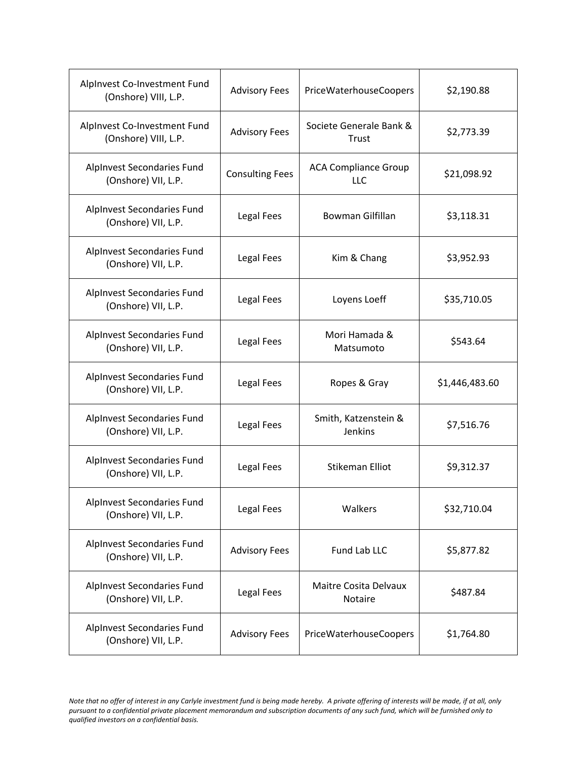| Alpinvest Co-Investment Fund<br>(Onshore) VIII, L.P. | <b>Advisory Fees</b>   | PriceWaterhouseCoopers             | \$2,190.88     |
|------------------------------------------------------|------------------------|------------------------------------|----------------|
| AlpInvest Co-Investment Fund<br>(Onshore) VIII, L.P. | <b>Advisory Fees</b>   | Societe Generale Bank &<br>Trust   | \$2,773.39     |
| AlpInvest Secondaries Fund<br>(Onshore) VII, L.P.    | <b>Consulting Fees</b> | <b>ACA Compliance Group</b><br>LLC | \$21,098.92    |
| AlpInvest Secondaries Fund<br>(Onshore) VII, L.P.    | Legal Fees             | Bowman Gilfillan                   | \$3,118.31     |
| AlpInvest Secondaries Fund<br>(Onshore) VII, L.P.    | Legal Fees             | Kim & Chang                        | \$3,952.93     |
| AlpInvest Secondaries Fund<br>(Onshore) VII, L.P.    | Legal Fees             | Loyens Loeff                       | \$35,710.05    |
| AlpInvest Secondaries Fund<br>(Onshore) VII, L.P.    | Legal Fees             | Mori Hamada &<br>Matsumoto         | \$543.64       |
| AlpInvest Secondaries Fund<br>(Onshore) VII, L.P.    | Legal Fees             | Ropes & Gray                       | \$1,446,483.60 |
| AlpInvest Secondaries Fund<br>(Onshore) VII, L.P.    | Legal Fees             | Smith, Katzenstein &<br>Jenkins    | \$7,516.76     |
| AlpInvest Secondaries Fund<br>(Onshore) VII, L.P.    | Legal Fees             | <b>Stikeman Elliot</b>             | \$9,312.37     |
| AlpInvest Secondaries Fund<br>(Onshore) VII, L.P.    | Legal Fees             | Walkers                            | \$32,710.04    |
| AlpInvest Secondaries Fund<br>(Onshore) VII, L.P.    | <b>Advisory Fees</b>   | Fund Lab LLC                       | \$5,877.82     |
| AlpInvest Secondaries Fund<br>(Onshore) VII, L.P.    | Legal Fees             | Maitre Cosita Delvaux<br>Notaire   | \$487.84       |
| AlpInvest Secondaries Fund<br>(Onshore) VII, L.P.    | <b>Advisory Fees</b>   | PriceWaterhouseCoopers             | \$1,764.80     |